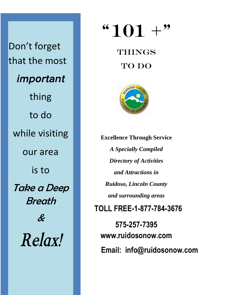Don't forget that the most *important* thing to do while visiting our area is to Take a Deep **Breath** & *Relax!*

## $"101 +"$

## **THINGS** TO DO



**Excellence Through Service** *A Specially Compiled Directory of Activities and Attractions in Ruidoso, Lincoln County and surrounding areas* **TOLL FREE-1-877-784-3676 575-257-7395 www.ruidosonow.com Email: info@ruidosonow.com**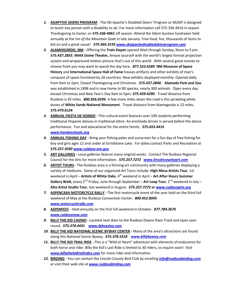- *1.* **ADAPTIVE SKIERS PROGRAM** The Ski Apache's Disabled Skiers' Program or SADSP is designed to teach any person with a disability to ski. For more information call 575-336-4416 in season Thanksgiving to Easter, or *575-336-4061* off season. Attend the Silent Auction fundraiser held annually at the *Inn of the Mountain God*s in late January. Free food, fun, thousands of items to bid on and a great cause! *575.464.3193 [www.skiapachedisabledskierprogram.com](http://www.skiapachedisabledskierprogram.com/)*
- *2.* **ALAMOGORDO, NM -** Offering the **Train Depot** opened Wed through Sunday, Noon to 5 pm. *575.437.2855*, **IMAX Dome Theater,** Amaze yourself with the world's largest format projection system and wraparound motion picture that's out of this world. With several great movies to choose from you may want to spend the day here. *877.333.6589*. **NM Museum of Space History** and **International Space Hall of Fame** houses artifacts and other exhibits of man's conquest of space furnished by 28 countries. New exhibits displayed monthly. Opened daily from 9am to 5pm. Closed Thanksgiving and Christmas. *575.437.2840*. **Alameda Park and Zoo** was established in 1898 and is now home to 90 species, nearly 300 animals. Open every day except Christmas and New Year's Day 9am to 5pm*. 575.439.4290*. Travel distance from Ruidoso is 45 miles. *800.826.0294.* A few more miles down the road is the sprawling white dunes of **White Sands National Monument**. Travel distance from Alamogordo is 12 miles. *575.479.6124*
- *3.* **ANNUAL FIESTA DE HONDO -** This cultural event features over 100 students performing traditional Hispanic dances in traditional attire. An enchilada dinner is served before the dance performance. Fun and educational for the entire family. *575.653.4414 [www.hondoschools.org](http://www.hondoschools.org/)*
- *4.* **ANNUAL FISHING DAY -** Bring your fishing poles and sunscreen for a fun day of free fishing for boy and girls ages 12 and under at Grindstone Lake. For dates contact Parks and Recreation at *575.257.5030 [www.ruidoso-nm.gov](http://www.ruidoso-nm.gov/)*
- *5.* **ART GALLERIES -** Local galleries feature many original works. Contact The Ruidoso Regional Council for the Arts for more information. *575.257.7272 [www.lincolncountyart.com](http://www.lincolncountyart.com/)*
- *6.* **ARTIST TOURS -** The Ruidoso area is a thriving art community with many galleries displaying a variety of mediums. Some of our organized Art Tours include: **High Mesa Artists Tour**, 1st weekend in April – Artists of White Oaks, 4<sup>th</sup> weekend in April – Art After Hours Summer **Gallery Walk**, every 2<sup>nd</sup> Friday, June through September – Art Loop Tour, 2<sup>nd</sup> weekend in July – **Alto Artist Studio Tour**, last weekend in August*. 575.257.7272 or [www.ruidosoarts.org](http://www.ruidosoarts.org/)*
- *7.* **ASPENCASH MOTORCYCLE RALLY -** The first motorcycle event of the year held on the third full weekend of May at the Ruidoso Convention Center. *800.452.8045 [www.motorcyclerally.com](http://www.motorcyclerally.com/)*
- *8.* **ASPENFEST -** Held annually on the first full weekend in October. *877.784.3676 [www.ruidosonow.com](http://www.ruidosonow.com/)*
- *9.* **BILLY THE KID CASINO -** Located next door to the Ruidoso Downs Race Track and open yearround. *575.378.4431 [www.btkcasino.com](http://www.btkcasino.com/)*
- *10.* **BILLY THE KID NATIONAL SCENIC BYWAY CENTER -** Many of the area's attractions are found along this National Scenic Byway. *575.378.5318 [www.billybyway.com](http://www.billybyway.com/)*
- *11.* **BILLY THE KID TRAIL RIDE -** This is a "Wild at Heart" adventure with elements of endurance for both horse and rider. Billy the Kid's Last Ride is limited to 30 riders, so inquire soon! Visit *[www.billythekidtrailrides.com](http://www.billythekidtrailrides.com/)* for more rides and information.
- *12.* **BIRDING -** You can contact the Lincoln County Bird Club by emailing *[info@ruidosobirding.com](mailto:info@ruidosobirding.com)* or visit their web site at *[www.ruidosobirding.com](http://www.ruidosobirding.com/)*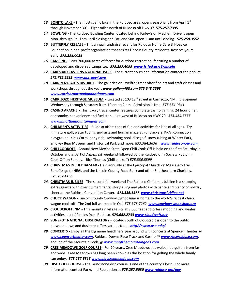- **13. BONITO LAKE** The most scenic lake in the Ruidoso area, opens seasonally from April 1<sup>st</sup> through November 30<sup>th</sup>. Eight miles north of Ruidoso off Hwy 37. **575.257.7395**
- *14.* **BOWLING -** The Ruidoso Bowling Center located behind Farley's on Mechem Drive is open Mon. through Fri. 1pm until closing and Sat. and Sun. open 11am until closing. *575.258.3557*
- *15.* **BUTTERFLY RELEASE -** This annual fundraiser event for Ruidoso Home Care & Hospice Foundation, a non-profit organization that assists Lincoln County residents. Reserve yours early. *575.258.0028*
- *16.* **CAMPING -** Over 700,000 acres of forest for outdoor recreation, featuring a number of developed and dispersed campsites*. 575.257.4095 [www.fs.fed.us/r3/lincoln](http://www.fs.fed.us/r3/lincoln)*
- *17.* **CARLSBAD CAVERNS NATIONAL PARK -** For current hours and information contact the park at *575.785.2232 [www.nps.gov/cave](http://www.nps.gov/cave)*
- *18.* **CARRIZOZO ARTS DISTRICT -** The galleries on Twelfth Street offer fine art and craft classes and workshops throughout the year, *www.gallery408.com 575.648.2598 [www.carrizozoartandandantiques.com](http://www.carrizozoartandandantiques.com/)*
- 19. **CARRIZOZO HERITAGE MUSEUM** Located at 103 12<sup>th</sup> street in Carrizozo, NM. It is opened Wednesday through Saturday from 10 am to 2 pm. Admission is free*. 575.354.0341*
- *20.* **CASINO APACHE -** This luxury travel center features complete casino gaming, 24 hour diner, and smoke, convenience and fuel stop. Just west of Ruidoso on HWY 70. *575.464.7777 [www.innofthemountaingods.com](http://www.innofthemountaingods.com/)*
- *21.* **CHILDREN'S ACTIVITIES -** Ruidoso offers tons of fun and activities for kids of all ages. Try miniature golf, water tubing, go-karts and human maze at Funtrackers, Kid's Konnection playground, Kid's Corral pony ride, swimming pool, disc golf, snow tubing at Winter Park, Smokey Bear Museum and Historical Park and more. *877.784.3676 [www.ruidosonow.com](http://www.ruidosonow.com/)*
- *22.* **CHILI COOKOFF -** Annual New Mexico State Open Chili Cook-Off is held on the first Saturday in October and is part of *Aspenfest* weekend followed by the Ruidoso Chili Society Pod Chili Cook-Off on Sunday. Rick Thomas (Chili cookoff) *575.336.8399*
- *23.* **CHRISTMAS IN JULY BAZAAR -** Held annually at the Episcopal Church on Mescalero Trail. Benefits go to **HEAL** and the Lincoln County Food Bank and other Southeastern Charities. *575.257.4156*
- *24.* **CHRISTMAS JUBILEE -** The second full weekend The Ruidoso Christmas Jubilee is a shopping extravaganza with over 80 merchants, storytelling and photos with Santa and plenty of holiday cheer at the Ruidoso Convention Center*. 575.336.1577 [www.christmasjubilee.net](http://www.christmasjubilee.net/)*
- *25.* **CHUCK WAGON -** Lincoln County Cowboy Symposium is home to the world's richest chuck wagon cook-off. The 2nd full weekend in Oct. *575.378.7262 [www.cowboysymopsium.org](http://www.cowboysymopsium.org/)*
- *26.* **CLOUDCROFT, NM -** This mountain village sits at 9,000 feet and offers shopping and winter activities. Just 42 miles from Ruidoso. *575.682.273[3 www.cloudcroft.net](http://www.cloudcroft.net/)*
- *27.* **SUNSPOT NATIONAL OBSERVATORY** located south of Cloudcroft is open to the public between dawn and dusk and offers various tours. *http//nsosp.nso.edu/*
- *28.* **CONCERTS -** Enjoy all the big name headliners year around with concerts at Spencer Theater @ *[www.spencertheater.com](http://www.spencertheater.com/)*, Ruidoso Downs Race Track and Casino @ *[www.raceruidoso.com](http://www.raceruidoso.com/)*, and Inn of the Mountain Gods @ *[www.innofthemountaingods.com.](http://www.innofthemountaingods.com/)*
- *29.* **CREE MEADOWS GOLF COURSE -** For 70 years, Cree Meadows has welcomed golfers from far and wide. Cree Meadows has long been known as the location for golfing the whole family can enjoy*. 575.257.581[5 www.playcreemeadows.com](http://www.playcreemeadows.com/)*
- *30.* **DISC GOLF COURSE -** The Grindstone disc course is one of the country's best. For more information contact Parks and Recreation at *575.257.5030 [www.ruidoso-nm/gov](http://www.ruidoso-nm/gov)*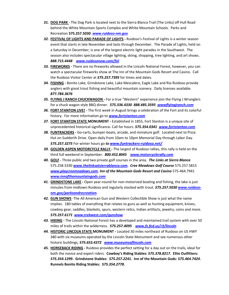- *31.* **DOG PARK** The Dog Park is located next to the Sierra Blanca Trail (The Links) off Hull Road behind the White Mountain Sports Complex and White Mountain Schools. Parks and Recreation **575.257.5030** *[www.ruidoso-nm.gov](http://www.ruidoso-nm.gov/)*
- *32.* **FESTIVAL OF LIGHTS AND PARADE OF LIGHTS -** Ruidoso's Festival of Lights is a winter season event that starts in late November and lasts through December. The Parade of Lights, held on a Saturday in December, is one of the largest electric light parades in the Southwest. The season also includes spectacular village lighting, skiing, shopping, tree lighting, and art shows. *888.715.4448 [www.ruidosonow.com/fol](http://www.ruidosonow.com/fol)*
- *33.* **FIREWORKS -** There are no fireworks allowed in the Lincoln National Forest, however, you can watch a spectacular fireworks show at The Inn of the Mountain Gods Resort and Casino. Call the Ruidoso Visitor Center at *575.257.7395* for times and dates.
- *34.* **FISHING -** Bonito Lake, Grindstone Lake, Lake Mescalero, Eagle Lake and Rio Ruidoso provide anglers with great trout fishing and beautiful mountain scenery. Daily licenses available. *877.784.3676*
- *35.* **FLYING J RANCH CHUCKWAGON** *-* For a true "Western" experience join the Flying J Wranglers for a chuck wagon style BBQ dinner. *575.336.4330 888.485.3595 [wwwflyingjranch.com](http://www.jlyingjranch.com/)*
- *36.* **FORT STANTON LIVE! -** The first week in August brings a celebration of the Fort and its colorful history. For more information go to *[www.fortstanton.com](http://www.fortstanton.com/)*
- *37.* **FORT STANTON STATE MONUMENT -** Established in 1855, Fort Stanton is a unique site of unprecedented historical significance*.* Call for hours. *575.354.0341 [www.fortstanton.com](http://www.fortstanton.com/)*
- *38.* **FUNTRACKERS -** Go-carts, bumper-boats, arcade, and miniature golf. Located next to Pizza Hut on Sudderth Drive. Open daily from 10am to 10pm Memorial Day through Labor Day. *575.257.3275* For winter hours go *to [www.funtrackers-ruidoso.net/](http://www.funtrackers-ruidoso.net/)*
- *39.* **GOLDEN ASPEN MOTORCYCLE RALLY -** The largest of Ruidoso rallies, this rally is held on the third full weekend in September. *800.452.8045 [www.motorcyclerally.com](http://www.motorcyclerally.com/)*
- *40.* **GOLF -** Three public and two private golf courses in the area*. The Links at Sierra Blanca* 575.258.5330 *[www.thelinksatsierrablanca.com.](http://www.thelinksatsierrablanca.com/) Cree Meadows Golf Course* 575.257.5815 *[www.playcreemeadows.com.](http://www.playcreemeadows.com/) Inn of the Mountain Gods Resort and Casino* 575-464.7941 *[www.innofthemountaingods.com](http://www.innofthemountaingods.com/)*
- *41.* **GRINDSTONE LAKE -** Open year-round for non-motorized boating and fishing, the lake is just minutes from midtown Ruidoso and regularly stocked with trout. *575.257.5030 [www.ruidoso](http://www.ruidoso-nm.gov/parksandrecreation)[nm.gov/parksandrecreation.](http://www.ruidoso-nm.gov/parksandrecreation)*
- *42.* **GUN SHOWS** -The All American Gun and Western Collectible Show is just what the name implies. 180 tables of everything that relates to guns as well as hunting equipment, knives, cowboy gear, saddles, blankets, spurs, western relics, Indian artifacts, jewelry, coins and more. *575.257.6171 [www.trekwest.com/gunshow](http://www.trekwest.com/gunshow)*
- *43.* **HIKING -** The Lincoln National Forest has a developed and maintained trail system with over 50 miles of trails within the wilderness. *575.257.4095 [www.fs.fed.us/r3/lincoln](http://www.fs.fed.us/r3/lincoln)*
- *44.* **HISTORIC LINCOLN STATE MONUMENT -** Located 30 miles northeast of Ruidoso on US HWY 380 with six museums operated by the Lincoln State Monument and see numerous other historic buildings; *575.653.4372 [www.museumsoflincoln.com](http://www.museumsoflincoln.com/)*
- *45.* **HORSEBACK RIDING -** Ruidoso provides the perfect setting for a day out on the trails, ideal for both the novice and expert riders. **Cowboy's Riding Stables:** *575.378.8217***. Elite Outfitters:**  *575.354.1299***. Grindstone Stables:** *575.257.2241***. Inn of the Mountain Gods:** *575.464.7424***. Runnels Bonito Riding Stables***: 575.354.2778***.**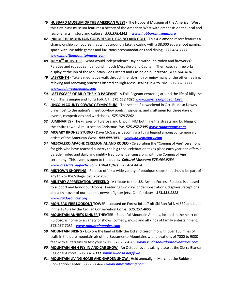- *46.* **HUBBARD MUSEUM OF THE AMERICAN WEST -** The Hubbard Museum of the American West, this first-class museum features a history of the American West with emphasis on the local and regional arts, history and culture. *575.378.4142 [www.hubbardmuseum.org](http://www.hubbardmuseum.org/)*
- *47.* **INN OF THE MOUNTAIN GODS RESORT, CASINO AND GOLF -** This 4-diamond resort features a championship golf course that winds around a lake, a casino with a 38,000 square foot gaming space with live table games and luxurious accommodations and dining. *575.464.7777 [www.innofthemountaingods.com](http://www.innofthemountaingods.com/)*
- *48.* **JULY 4TH ACTIVITIES -** What would Independence Day be without a rodeo and fireworks? Parades and rodeos can be found in both Mescalero and Capitan. Then, catch a fireworks display at the Inn of the Mountain Gods Resort and Casino or in Carrizozo. *877.784.3676*
- *49.* **LABYRINTH -** Take a meditative walk through the labyrinth or enjoy many of the other healing, relaxing and renewing practices offered at High Mesa Healing in Alto, NM. *575.336.7777 [www.highmesahealing.com](http://www.highmesahealing.com/)*
- *50.* **LAST ESCAPE OF BILLY THE KID PAGEANT -** A Folk Pageant centering around the life of Billy the Kid. This is unique and living Folk Art! *575.653.4025 [www.billythekidpageant.org](http://www.billythekidpageant.org/)*
- *51.* **LINCOLN COUNTY COWBOY SYMPOSIUM -** The second full weekend in Oct. Ruidoso Downs plays host to the nation's finest cowboy poets, musicians, and craftsmen for three days of events, competitions and workshops. *575.378.7262*
- *52.* **LUMINARIES -** The villages of Tularosa and Lincoln, NM both line the streets and buildings of the entire town. A must see on Christmas Eve. *575.257.7395 [www.ruidosonow.com](http://www.ruidosonow.com/)*
- *53.* **MCGARY BRONZE STUDIO -** Dave McGary is becoming a living legend among contemporary artists of the American West. *800.499.3031 [www.davemcgary.com](http://www.davemcgary.com/)*
- *54.* **MESCALERO APACHE CEREMONIAL AND RODEO -** Celebrating the "Coming of Age" ceremony for girls who have reached puberty the big tribal celebration takes place each year and offers a parade, rodeo and daily and nightly traditional dancing along with the Coming of Age ceremony. This event is open to the public*. Cultural Museum: 575.464.9254 [www.mescaleroapache.com](http://www.mescaleroapache.com/) Tribal Office: 575.464.4494*
- *55.* **MIDTOWN SHOPPING -** Ruidoso offers a wide variety of boutique shops that should be part of any trip to the Village. **575.257.7395**
- *56.* **MILITARY APPRECIATION WEEKEND -** A tribute to the U.S. Armed Forces. Ruidoso is pleased to support and honor our troops. Featuring two days of demonstrations, displays, receptions and a fly – over of our nation's newest fighter jets. Call for dates. *575.336.2828 [www.ruidosomaw.org](http://www.ruidosomaw.org/)*
- *57.* **MONJEAU FIRE LOOKOUT TOWER -** Located on Forest Rd 117 off Ski Run Rd NM 532 and built in the 1940's by the Civilian Conservation Corps. *575.257.4095*
- *58.* **MOUNTAIN ANNIE'S DINNER THEATER -** Beautiful Mountain Annie's, located in the heart of Ruidoso, is home to a variety of shows, comedy, music and all kinds of family entertainment. *575.257.7982 [www.mountainannies.com](http://www.mountainannies.com/)*
- *59.* **MOUNTAIN BIKING -** Explore the land of Billy the Kid and Geronimo with over 100 miles of trails in the pure mountain air of the Sacramento Mountains with elevations of 7000 to 9000 feet with all terrains to test your skills. *575.257.4905 [www.ruidosooutdooradventures.com](http://www.ruidosooutdooradventures.com/)*
- *60.* **MOUNTAIN HIGH FLY-IN AND CAR SHOW -** An October event taking place at the Sierra Blanca Regional Airport. *575.336.8111 [www.ruidoso.net/flyin](http://www.ruidoso.net/flyin)*
- *61.* **MOUNTAIN LIVING HOME AND GARDEN SHOW -** Held annually in March at the Ruidoso Convention Center*. 575.653.4882 [www.nmmtnliving.com](http://www.nmmtnliving.com/)*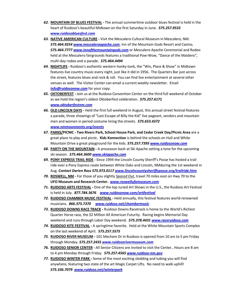- *62.* **MOUNTAIN OF BLUES FESTIVAL -** The annual summertime outdoor blues festival is held in the heart of Ruidoso's beautiful Midtown on the first Saturday in June. *575.257.9533 [www.ruidosobluesfest.com](http://www.ruidosobluesfest.com/)*
- *63.* **NATIVE AMERICAN CULTURE -** Visit the Mescalero Cultural Museum in Mescalero, NM. *575.464.9254 [www.mescaleroapache.com](http://www.mescaleroapache.com/)*, Inn of the Mountain Gods Resort and Casino*. 575.464.7777 [www.innofthemountaingods.com](http://www.innofthemountaingods.com/)* or Mescalero Apache Ceremonial and Rodeo held at the Mescalero fairgrounds features a traditional Pow-Wow, "Dance of the Maidens", multi-day rodeo and a parade. *575.464.4494*
- *64.* **NIGHTLIFE -** Ruidoso's authentic western honky-tonk, the "Win, Place & Show" in Midtown features live country music every night, just like it did in 1956. The Quarters Bar just across the street, features blues and rock & roll. You can find live entertainment at several other venues as well. The Visitor Center can email a current weekly newsletter. Email *[info@ruidosonow.com](mailto:info@ruidosonow.com)* for your copy.
- *65.* **OKTOBERFEST -** Join us at the Ruidoso Convention Center on the third full weekend of October as we hold the region's oldest Oktoberfest celebration. *575.257.6171 [www.oktoberfestnm.com](http://www.oktoberfestnm.com/)*
- *66.* **OLD LINCOLN DAYS -** Held the first full weekend in August, this annual street festival features a parade, three showings of "Last Escape of Billy the Kid" live pageant, vendors and mountain men and women in period costume lining the streets. *575.653.4372 [www.nmmounments.org/events](http://www.nmmounments.org/events)*
- *67.* **PARKS/PICNIC - Two Rivers Park, School House Park, and Cedar Creek Day/Picnic Area** are a great place to play and picnic. **Kids Konnection** is behind the schools on Hull and White Mountain Drive a great playground for the kids. *575.257.739[5 www.ruidosonow.com](http://www.ruidosonow.com/)*
- *68.* **PARTY ON THE MOUNTAIN -** A preseason bash at Ski Apache setting a tone for the upcoming ski season. *575.464.3600 [www.skiapache.com](http://www.skiapache.com/)*
- *69.* **PONY EXPRESS TRAIL RIDE -** Since 1994 the Lincoln County Sheriff's Posse has hosted a trail ride over a Pony Express route between White Oaks and Lincoln, NMduring the 1st weekend in Aug. *Contact Darien Ross 575.973.0117 [www.lincolncountysheriffsposse.org/trailride.htm](http://www.lincolncountysheriffsposse.org/trailride.htm)*
- *70.* **ROSWELL, NM -** For those of you slightly *Spaced Out*, travel 70 miles east on Hwy 70 to the **UFO Museum and Research Center.** *[www.roswellufomuseum.com](http://www.roswellufomuseum.com/)*
- *71.* **RUIDOSO ARTS FESTIVAL -** One of the top Juried Art Shows in the U.S., the Ruidoso Art Festival is held in July. *877.784.3676 [www.ruidosonow.com/artfestival](http://www.ruidosonow.com/artfestival)*
- *72.* **RUIDOSO CHAMBER MUSIC FESTIVAL -** Held annually, this festival features world-renowned musicians. *866.375.7370 [www.ruidoso.net/chambermusic](http://www.ruidoso.net/chambermusic)*
- *73.* **RUIDOSO DOWNS RACE TRACK -** Ruidoso Downs Racetrack is home to the World's Richest Quarter Horse race, the \$2 Million All American Futurity. Racing begins Memorial Day weekend and runs through Labor Day weekend. *575.378.443[1 www.raceruidoso.com](http://www.raceruidoso.com/)*
- *74.* **RUIDOSO KITE FESTIVAL -** A springtime favorite. Held at the White Mountain Sports Complex on the last weekend of April. *575.257.5575*
- *75.* **RUIDOSO RIVER MUSEUM -** 101 Mechem Dr in Ruidoso is opened from 10 am to 5 pm Friday through Monday. *575.257.2435 [www.ruidosorivermuseum.com](http://www.ruidosorivermuseum.com/)*
- *76.* **RUIDOSO SENIOR CENTER -** All Senior Citizens are invited to visit the Center.. Hours are 8 am to 4 pm Monday through Friday. *575.257.456[5 www.ruidoso-nm.gov](http://www.ruidoso-nm.gov/)*
- *77.* **RUIDOSO WINTER PARK -** Some of the most exciting sledding and tubing you will find anywhere, featuring two state of the art Magic Carpet Lifts. No need to walk uphill! *575.336.7079 [www.ruidoso.net/winterpark](http://www.ruidoso.net/winterpark)*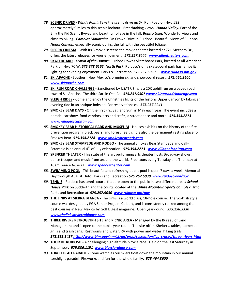- *78.* **SCENIC DRIVES -** *Windy Point:* Take the scenic drive up Ski Run Road on Hwy 532, approximately 9 miles to this scenic lookout. Breathtaking views*. Hondo Valley:* Part of the Billy the Kid Scenic Byway and beautiful foliage in the fall. *Bonito Lake:* Wonderful views and close to hiking. *Camelot Mountain:* On Crown Drive in Ruidoso. Beautiful views of Ruidoso*. Nogal Canyon:* especially scenic during the fall with the beautiful foliage.
- *79.* **SIERRA CINEMA -** With its 3 movie screens the movie theater located at 721 Mechem Dr., offers the latest releases for your enjoyment*. 575.257.9444 [www.allentheaters.com.](http://www.allentheaters.com/)*
- *80.* **SKATEBOARD -** *Crown of the Downs***:** Ruidoso Downs Skateboard Park, located at All-American Park on Hwy 70 W. *575.378.6162. North Park***:** Ruidoso's only skateboard park has ramps & lighting for evening enjoyment. Parks & Recreation *575.257.5030 [www.ruidoso-nm.gov](http://www.ruidoso-nm.gov/)*
- *81.* **SKI APACHE -** Southern New Mexico's premier ski and snowboard resort. *575.464.3600 [www.skiapache.com](http://www.skiapache.com/)*
- *82.* **SKI RUN ROAD CHALLENGE -** Sanctioned by USATF, this is a 20K uphill run on a paved road toward Ski Apache. The third Sat. in Oct. Call *575.257.9507 [www.skirunroadchallenge.com](http://www.skirunroadchallenge.com/)*
- *83.* **SLEIGH RIDES -** Come and enjoy the Christmas lights of the historic Upper Canyon by taking an evening ride in an antique bobsled. For reservations call *575.257.2241*
- *84.* **SMOKEY BEAR DAYS -** On the first Fri., Sat. and Sun. in May each year, The event includes a parade, car show, food vendors, arts and crafts, a street dance and more. *575.354.2273 [www.villageofcapitan.com](http://www.villageofcapitan.com/)*
- *85.* **SMOKEY BEAR HISTORICAL PARK AND MUSEUM -** Houses exhibits on the history of the fire prevention program, black bears, and forest health. It is also the permanent resting place for Smokey Bear. *575.354.2728 [www.smokeybearpark.com](http://www.smokeybearpark.com/)*
- *86.* **SMOKEY BEAR STAMPEDE AND RODEO -** The annual Smokey Bear Stampede and Calf-Scramble is an annual 4<sup>th</sup> of July celebration. **575.354.2273** *[www.villageofcapitan.com](http://www.villageofcapitan.com/)*
- *87.* **SPENCER THEATER -** This state of the art performing arts theater hosts Broadway shows, dance troupes and music from around the world. Free tours every Tuesday and Thursday at 10am. *888.818.7872 [www.spencertheater.com](http://www.spencertheater.com/)*
- *88.* **SWIMMING POOL -** This beautiful and refreshing public pool is open 7 days a week, Memorial Day through August. Info: Parks and Recreation *575.257.5030 [www.ruidoso-nm/gov](http://www.ruidoso-nm/gov)*
- *89.* **TENNIS -** Ruidoso has tennis courts that are open to the public in two different areas*; School House Park* on Sudderth and the courts located at the *White Mountain Sports Complex*. Info Parks and Recreation at *575.257.5030 [www.ruidoso-nm/gov](http://www.ruidoso-nm/gov)*
- *90.* **THE LINKS AT SIERRA BLANCA -** The Links is a world class, 18-hole course. The Scottish style course was designed by PGA Senior Pro, Jim Colbert, and is consistently ranked among the best courses in New Mexico by Golf Digest magazine. Open year-round. *575.258.5330 [www.thelinksatsierrablanca.com](http://www.thelinksatsierrablanca.com/)*
- *91.* **THREE RIVERS PETROGLYPH SITE and PICNIC AREA -** Managed by the Bureau of Land Management and is open to the public year round. The site offers Shelters, tables, barbecue grills and trash cans. Restrooms and water. RV with power and water, hiking trails*. 575.585.3457 [http://www.blm.gov/nm/st/en/prog/recreation/las\\_cruces/three\\_rivers.html](http://www.blm.gov/nm/st/en/prog/recreation/las_cruces/three_rivers.html)*
- *92.* **TOUR DE RUIDOSO -** A challenging high altitude bicycle race. Held on the last Saturday in September*. 575.336.1151 [www.bicycleruidoso.com](http://www.bicycleruidoso.com/)*
- *93.* **TORCH LIGHT PARADE -** Come watch as our skiers float down the mountain in our annual torchlight parade! Fireworks and fun for the whole family. *575.464.3600*